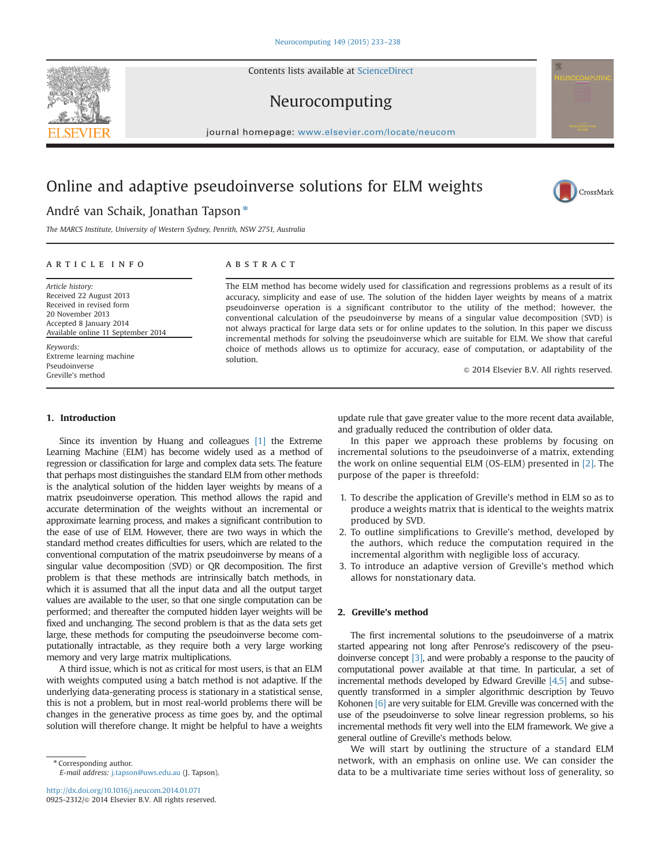Contents lists available at [ScienceDirect](www.sciencedirect.com/science/journal/09252312)





journal homepage: <www.elsevier.com/locate/neucom>

# Online and adaptive pseudoinverse solutions for ELM weights



# André van Schaik, Jonathan Tapson<sup>\*</sup>

The MARCS Institute, University of Western Sydney, Penrith, NSW 2751, Australia

## article info

Article history: Received 22 August 2013 Received in revised form 20 November 2013 Accepted 8 January 2014 Available online 11 September 2014 Keywords:

Extreme learning machine Pseudoinverse Greville's method

# **ABSTRACT**

The ELM method has become widely used for classification and regressions problems as a result of its accuracy, simplicity and ease of use. The solution of the hidden layer weights by means of a matrix pseudoinverse operation is a significant contributor to the utility of the method; however, the conventional calculation of the pseudoinverse by means of a singular value decomposition (SVD) is not always practical for large data sets or for online updates to the solution. In this paper we discuss incremental methods for solving the pseudoinverse which are suitable for ELM. We show that careful choice of methods allows us to optimize for accuracy, ease of computation, or adaptability of the solution.

 $\odot$  2014 Elsevier B.V. All rights reserved.

## 1. Introduction

Since its invention by Huang and colleagues [\[1\]](#page-5-0) the Extreme Learning Machine (ELM) has become widely used as a method of regression or classification for large and complex data sets. The feature that perhaps most distinguishes the standard ELM from other methods is the analytical solution of the hidden layer weights by means of a matrix pseudoinverse operation. This method allows the rapid and accurate determination of the weights without an incremental or approximate learning process, and makes a significant contribution to the ease of use of ELM. However, there are two ways in which the standard method creates difficulties for users, which are related to the conventional computation of the matrix pseudoinverse by means of a singular value decomposition (SVD) or QR decomposition. The first problem is that these methods are intrinsically batch methods, in which it is assumed that all the input data and all the output target values are available to the user, so that one single computation can be performed; and thereafter the computed hidden layer weights will be fixed and unchanging. The second problem is that as the data sets get large, these methods for computing the pseudoinverse become computationally intractable, as they require both a very large working memory and very large matrix multiplications.

A third issue, which is not as critical for most users, is that an ELM with weights computed using a batch method is not adaptive. If the underlying data-generating process is stationary in a statistical sense, this is not a problem, but in most real-world problems there will be changes in the generative process as time goes by, and the optimal solution will therefore change. It might be helpful to have a weights

\* Corresponding author. E-mail address: [j.tapson@uws.edu.au](mailto:j.tapson@uws.edu.au) (J. Tapson).

<http://dx.doi.org/10.1016/j.neucom.2014.01.071> 0925-2312/© 2014 Elsevier B.V. All rights reserved. update rule that gave greater value to the more recent data available, and gradually reduced the contribution of older data.

In this paper we approach these problems by focusing on incremental solutions to the pseudoinverse of a matrix, extending the work on online sequential ELM (OS-ELM) presented in [\[2\]](#page-5-0). The purpose of the paper is threefold:

- 1. To describe the application of Greville's method in ELM so as to produce a weights matrix that is identical to the weights matrix produced by SVD.
- 2. To outline simplifications to Greville's method, developed by the authors, which reduce the computation required in the incremental algorithm with negligible loss of accuracy.
- 3. To introduce an adaptive version of Greville's method which allows for nonstationary data.

# 2. Greville's method

The first incremental solutions to the pseudoinverse of a matrix started appearing not long after Penrose's rediscovery of the pseudoinverse concept [\[3\]](#page-5-0), and were probably a response to the paucity of computational power available at that time. In particular, a set of incremental methods developed by Edward Greville [\[4,5\]](#page-5-0) and subsequently transformed in a simpler algorithmic description by Teuvo Kohonen [\[6\]](#page-5-0) are very suitable for ELM. Greville was concerned with the use of the pseudoinverse to solve linear regression problems, so his incremental methods fit very well into the ELM framework. We give a general outline of Greville's methods below.

We will start by outlining the structure of a standard ELM network, with an emphasis on online use. We can consider the data to be a multivariate time series without loss of generality, so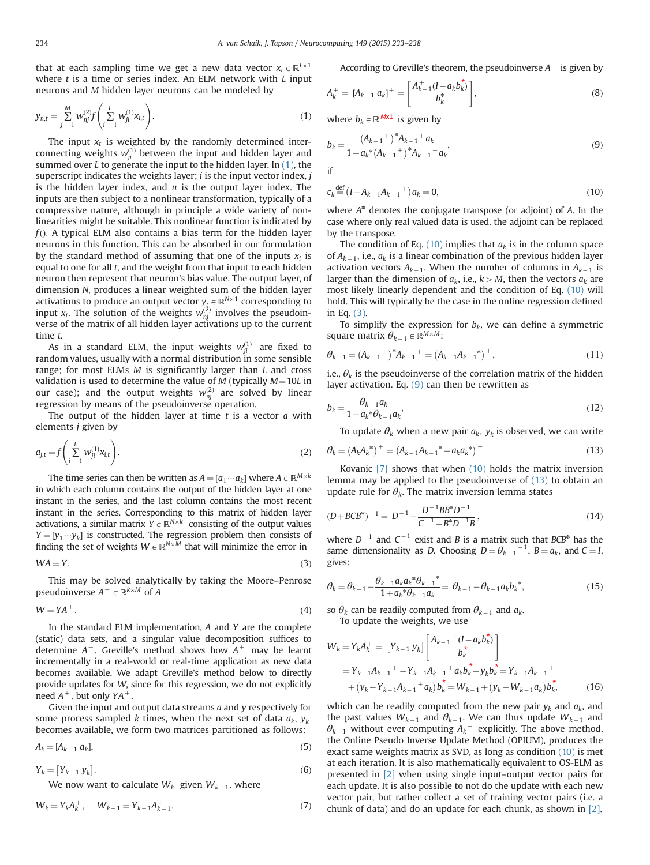<span id="page-1-0"></span>that at each sampling time we get a new data vector  $x_t \in \mathbb{R}^{L \times 1}$ where  $t$  is a time or series index. An ELM network with  $L$  input neurons and M hidden layer neurons can be modeled by

$$
y_{n,t} = \sum_{j=1}^{M} w_{nj}^{(2)} f\left(\sum_{i=1}^{L} w_{ji}^{(1)} x_{i,t}\right).
$$
 (1)

The input  $x_t$  is weighted by the randomly determined interconnecting weights  $w_{ji}^{(1)}$  between the input and hidden layer and summed over L to generate the input to the hidden layer. In  $(1)$ , the superscript indicates the weights layer;  $i$  is the input vector index,  $j$ is the hidden layer index, and  $n$  is the output layer index. The inputs are then subject to a nonlinear transformation, typically of a compressive nature, although in principle a wide variety of nonlinearities might be suitable. This nonlinear function is indicated by  $f$ (). A typical ELM also contains a bias term for the hidden layer neurons in this function. This can be absorbed in our formulation by the standard method of assuming that one of the inputs  $x_i$  is equal to one for all t, and the weight from that input to each hidden neuron then represent that neuron's bias value. The output layer, of dimension N, produces a linear weighted sum of the hidden layer activations to produce an output vector  $y_{\hat{\ell}}\in \mathbb{R}^{N\times 1}$  corresponding to input  $x_t$ . The solution of the weights  $w_{nj}^{(2)}$  involves the pseudoinverse of the matrix of all hidden layer activations up to the current time t.

As in a standard ELM, the input weights  $w_{ji}^{(1)}$  are fixed to random values, usually with a normal distribution in some sensible range; for most ELMs M is significantly larger than L and cross validation is used to determine the value of  $M$  (typically  $M = 10L$  in our case); and the output weights  $w_{nj}^{(2)}$  are solved by linear regression by means of the pseudoinverse operation.

The output of the hidden layer at time  $t$  is a vector  $a$  with elements j given by

$$
a_{j,t} = f\left(\sum_{i=1}^{L} W_{ji}^{(1)} x_{i,t}\right).
$$
 (2)

The time series can then be written as  $A = [a_1 \cdots a_k]$  where  $A \in \mathbb{R}^{M \times k}$ in which each column contains the output of the hidden layer at one instant in the series, and the last column contains the most recent instant in the series. Corresponding to this matrix of hidden layer activations, a similar matrix  $\overrightarrow{Y} \in \mathbb{R}^{N \times k}$  consisting of the output values  $Y = [y_1 \cdots y_k]$  is constructed. The regression problem then consists of finding the set of weights  $W \in \mathbb{R}^{N \times M}$  that will minimize the error in

$$
WA = Y.
$$
 (3)

This may be solved analytically by taking the Moore–Penrose pseudoinverse  $A^+ \in \mathbb{R}^{k \times M}$  of A

$$
W = YA^{+}.
$$

In the standard ELM implementation, A and Y are the complete (static) data sets, and a singular value decomposition suffices to determine  $A^+$ . Greville's method shows how  $A^+$  may be learnt incrementally in a real-world or real-time application as new data becomes available. We adapt Greville's method below to directly provide updates for W, since for this regression, we do not explicitly need  $A^+$ , but only  $YA^+$ .

Given the input and output data streams  $a$  and  $y$  respectively for some process sampled k times, when the next set of data  $a_k$ ,  $y_k$ becomes available, we form two matrices partitioned as follows:

$$
A_k = [A_{k-1} \ a_k],\tag{5}
$$

 $Y_k = [Y_{k-1} y_k]$  $\left[ . \right]$ . (6)

We now want to calculate  $W_k$  given  $W_{k-1}$ , where

$$
W_k = Y_k A_k^+, \qquad W_{k-1} = Y_{k-1} A_{k-1}^+.
$$
\n<sup>(7)</sup>

According to Greville's theorem, the pseudoinverse  $A^+$  is given by

$$
A_k^+ = [A_{k-1} \ a_k]^+ = \begin{bmatrix} A_{k-1}^+ (I - a_k b_k^*) \\ b_k^* \end{bmatrix}, \tag{8}
$$

where  $b_k \in \mathbb{R}^{M \times 1}$  is given by

$$
b_k = \frac{(A_{k-1}^+)^* A_{k-1}^+ a_k}{1 + a_k^* (A_{k-1}^+)^* A_{k-1}^+ a_k},\tag{9}
$$

if

$$
c_k \stackrel{\text{def}}{=} (I - A_{k-1} A_{k-1}{}^+) a_k = 0,
$$
\n(10)

where  $A^*$  denotes the conjugate transpose (or adjoint) of A. In the case where only real valued data is used, the adjoint can be replaced by the transpose.

The condition of Eq. (10) implies that  $a_k$  is in the column space of  $A_{k-1}$ , i.e.,  $a_k$  is a linear combination of the previous hidden layer activation vectors  $A_{k-1}$ . When the number of columns in  $A_{k-1}$  is larger than the dimension of  $a_k$ , i.e.,  $k > M$ , then the vectors  $a_k$  are most likely linearly dependent and the condition of Eq. (10) will hold. This will typically be the case in the online regression defined in Eq. (3).

To simplify the expression for  $b_k$ , we can define a symmetric square matrix  $\theta_{k-1} \in \mathbb{R}^{M \times M}$ :

$$
\theta_{k-1} = (A_{k-1}^+)^* A_{k-1}^+ = (A_{k-1} A_{k-1}^*)^+, \tag{11}
$$

i.e.,  $\theta_k$  is the pseudoinverse of the correlation matrix of the hidden layer activation. Eq.  $(9)$  can then be rewritten as

$$
b_k = \frac{\theta_{k-1} a_k}{1 + a_k^* \theta_{k-1} a_k},
$$
\n(12)

To update  $\theta_k$  when a new pair  $a_k$ ,  $y_k$  is observed, we can write

$$
\theta_k = (A_k A_k^*)^+ = (A_{k-1} A_{k-1}^* + a_k a_k^*)^+.
$$
\n(13)

Kovanic [\[7\]](#page-5-0) shows that when (10) holds the matrix inversion lemma may be applied to the pseudoinverse of (13) to obtain an update rule for  $\theta_k$ . The matrix inversion lemma states

$$
(D + BCB^*)^{-1} = D^{-1} - \frac{D^{-1}BB^*D^{-1}}{C^{-1} - B^*D^{-1}B},
$$
\n(14)

where  $D^{-1}$  and  $C^{-1}$  exist and B is a matrix such that BCB\* has the same dimensionality as *D*. Choosing  $D = \theta_{k-1}^{-1}$ ,  $B = a_k$ , and  $C = I$ , gives:

$$
\theta_k = \theta_{k-1} - \frac{\theta_{k-1} a_k a_k^* \theta_{k-1}^*}{1 + a_k^* \theta_{k-1} a_k} = \theta_{k-1} - \theta_{k-1} a_k b_k^*,
$$
\n(15)

so  $\theta_k$  can be readily computed from  $\theta_{k-1}$  and  $a_k$ . To update the weights, we use

$$
W_k = Y_k A_k^+ = [Y_{k-1} y_k] \begin{bmatrix} A_{k-1}^+ (I - a_k b_k^*) \\ b_k^* \end{bmatrix}
$$
  
=  $Y_{k-1} A_{k-1}^+ - Y_{k-1} A_{k-1}^+ a_k b_k^* + y_k b_k^* = Y_{k-1} A_{k-1}^+ + (y_k - Y_{k-1} a_k) b_k^* - W_{k-1} + (y_k - W_{k-1} a_k) b_k^*.$  (16)

which can be readily computed from the new pair  $y_k$  and  $a_k$ , and the past values  $W_{k-1}$  and  $\theta_{k-1}$ . We can thus update  $W_{k-1}$  and  $\theta_{k-1}$  without ever computing  $A_k^+$  explicitly. The above method, the Online Pseudo Inverse Update Method (OPIUM), produces the exact same weights matrix as SVD, as long as condition (10) is met at each iteration. It is also mathematically equivalent to OS-ELM as presented in [\[2\]](#page-5-0) when using single input–output vector pairs for each update. It is also possible to not do the update with each new vector pair, but rather collect a set of training vector pairs (i.e. a chunk of data) and do an update for each chunk, as shown in [\[2\]](#page-5-0).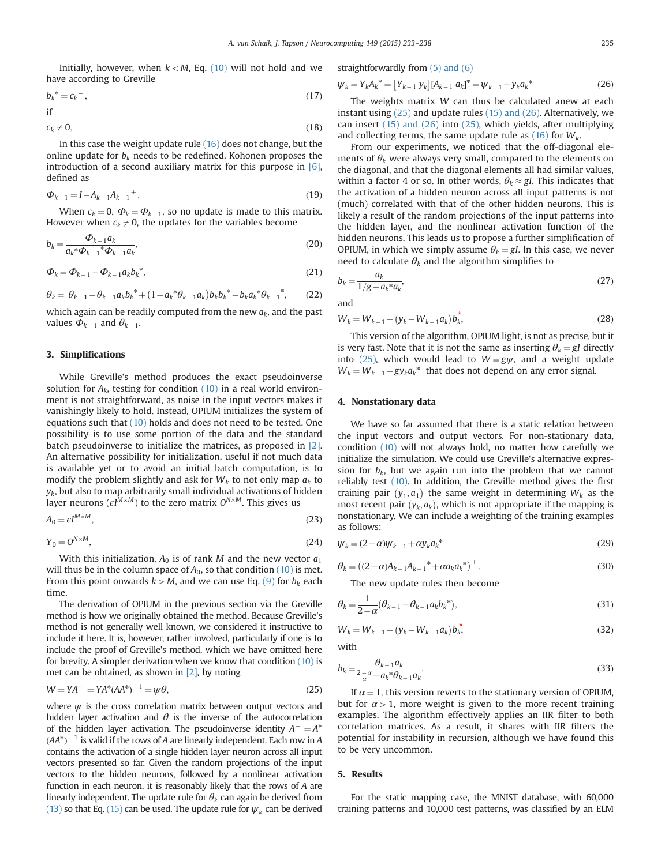<span id="page-2-0"></span>Initially, however, when  $k < M$ , Eq. [\(10\)](#page-1-0) will not hold and we have according to Greville

$$
b_k^* = c_k^+, \tag{17}
$$

$$
if
$$

$$
c_k \neq 0,\tag{18}
$$

In this case the weight update rule [\(16\)](#page-1-0) does not change, but the online update for  $b_k$  needs to be redefined. Kohonen proposes the introduction of a second auxiliary matrix for this purpose in  $[6]$ , defined as

$$
\Phi_{k-1} = I - A_{k-1} A_{k-1}^+ \tag{19}
$$

When  $c_k = 0$ ,  $\Phi_k = \Phi_{k-1}$ , so no update is made to this matrix. However when  $c_k \neq 0$ , the updates for the variables become

$$
b_k = \frac{\Phi_{k-1} a_k}{a_k^* \Phi_{k-1}^* \Phi_{k-1} a_k},\tag{20}
$$

$$
\Phi_k = \Phi_{k-1} - \Phi_{k-1} a_k b_k^*,\tag{21}
$$

$$
\theta_k = \theta_{k-1} - \theta_{k-1} a_k b_k^* + (1 + a_k^* \theta_{k-1} a_k) b_k b_k^* - b_k a_k^* \theta_{k-1}^*,
$$
 (22)

which again can be readily computed from the new  $a_k$ , and the past values  $\Phi_{k-1}$  and  $\theta_{k-1}$ .

# 3. Simplifications

While Greville's method produces the exact pseudoinverse solution for  $A_k$ , testing for condition [\(10\)](#page-1-0) in a real world environment is not straightforward, as noise in the input vectors makes it vanishingly likely to hold. Instead, OPIUM initializes the system of equations such that [\(10\)](#page-1-0) holds and does not need to be tested. One possibility is to use some portion of the data and the standard batch pseudoinverse to initialize the matrices, as proposed in [\[2\].](#page-5-0) An alternative possibility for initialization, useful if not much data is available yet or to avoid an initial batch computation, is to modify the problem slightly and ask for  $W_k$  to not only map  $a_k$  to  $y_{k}$ , but also to map arbitrarily small individual activations of hidden layer neurons ( $\epsilon I^{M\times M}$ ) to the zero matrix  $O^{N\times M}.$  This gives us

$$
A_0 = \epsilon I^{M \times M},\tag{23}
$$

$$
Y_0 = O^{N \times M},\tag{24}
$$

With this initialization,  $A_0$  is of rank M and the new vector  $a_1$ will thus be in the column space of  $A_0$ , so that condition [\(10\)](#page-1-0) is met. From this point onwards  $k > M$ , and we can use Eq. [\(9\)](#page-1-0) for  $b_k$  each time.

The derivation of OPIUM in the previous section via the Greville method is how we originally obtained the method. Because Greville's method is not generally well known, we considered it instructive to include it here. It is, however, rather involved, particularly if one is to include the proof of Greville's method, which we have omitted here for brevity. A simpler derivation when we know that condition [\(10\)](#page-1-0) is met can be obtained, as shown in [\[2\],](#page-5-0) by noting

$$
W = YA^{+} = YA^{*}(AA^{*})^{-1} = \psi \theta,
$$
\n(25)

where  $\psi$  is the cross correlation matrix between output vectors and hidden layer activation and  $\theta$  is the inverse of the autocorrelation of the hidden layer activation. The pseudoinverse identity  $A^+ = A^*$  $(AA^*)^{-1}$  is valid if the rows of A are linearly independent. Each row in A contains the activation of a single hidden layer neuron across all input vectors presented so far. Given the random projections of the input vectors to the hidden neurons, followed by a nonlinear activation function in each neuron, it is reasonably likely that the rows of A are linearly independent. The update rule for  $\theta_k$  can again be derived from [\(13\)](#page-1-0) so that Eq. [\(15\)](#page-1-0) can be used. The update rule for  $\psi_k$  can be derived straightforwardly from [\(5\) and \(6\)](#page-1-0)

$$
\psi_k = Y_k A_k^* = [Y_{k-1} y_k] [A_{k-1} a_k]^* = \psi_{k-1} + y_k a_k^* \tag{26}
$$

The weights matrix W can thus be calculated anew at each instant using (25) and update rules (15) and (26). Alternatively, we can insert (15) and (26) into (25), which yields, after multiplying and collecting terms, the same update rule as  $(16)$  for  $W_k$ .

From our experiments, we noticed that the off-diagonal elements of  $\theta_k$  were always very small, compared to the elements on the diagonal, and that the diagonal elements all had similar values, within a factor 4 or so. In other words,  $\theta_k \approx gI$ . This indicates that the activation of a hidden neuron across all input patterns is not (much) correlated with that of the other hidden neurons. This is likely a result of the random projections of the input patterns into the hidden layer, and the nonlinear activation function of the hidden neurons. This leads us to propose a further simplification of OPIUM, in which we simply assume  $\theta_k = gI$ . In this case, we never need to calculate  $\theta_k$  and the algorithm simplifies to

$$
b_k = \frac{a_k}{1/g + a_k * a_k},\tag{27}
$$

and

$$
W_k = W_{k-1} + (y_k - W_{k-1}a_k)b_k^*,
$$
\n(28)

This version of the algorithm, OPIUM light, is not as precise, but it is very fast. Note that it is not the same as inserting  $\theta_k = gI$  directly into (25), which would lead to  $W = g\psi$ , and a weight update  $W_k = W_{k-1} + gy_k a_k^*$  that does not depend on any error signal.

#### 4. Nonstationary data

We have so far assumed that there is a static relation between the input vectors and output vectors. For non-stationary data, condition [\(10\)](#page-1-0) will not always hold, no matter how carefully we initialize the simulation. We could use Greville's alternative expression for  $b_k$ , but we again run into the problem that we cannot reliably test [\(10\)](#page-1-0). In addition, the Greville method gives the first training pair  $(y_1, a_1)$  the same weight in determining  $W_k$  as the most recent pair  $(y_k, a_k)$ , which is not appropriate if the mapping is nonstationary. We can include a weighting of the training examples as follows:

$$
\psi_k = (2 - \alpha)\psi_{k-1} + \alpha y_k a_k^* \tag{29}
$$

$$
\theta_k = \left( (2 - \alpha) A_{k-1} A_{k-1}^* + \alpha a_k a_k^* \right)^+.
$$
\n(30)

The new update rules then become

$$
\theta_k = \frac{1}{2 - \alpha} (\theta_{k-1} - \theta_{k-1} a_k b_k^*),
$$
\n(31)

$$
W_k = W_{k-1} + (y_k - W_{k-1}a_k)b_k^*,
$$
\n(32)

with

$$
b_k = \frac{\theta_{k-1} a_k}{\frac{2-\alpha}{\alpha} + a_k \partial_{k-1} a_k}.
$$
\n(33)

If  $\alpha = 1$ , this version reverts to the stationary version of OPIUM, but for  $\alpha > 1$ , more weight is given to the more recent training examples. The algorithm effectively applies an IIR filter to both correlation matrices. As a result, it shares with IIR filters the potential for instability in recursion, although we have found this to be very uncommon.

#### 5. Results

For the static mapping case, the MNIST database, with 60,000 training patterns and 10,000 test patterns, was classified by an ELM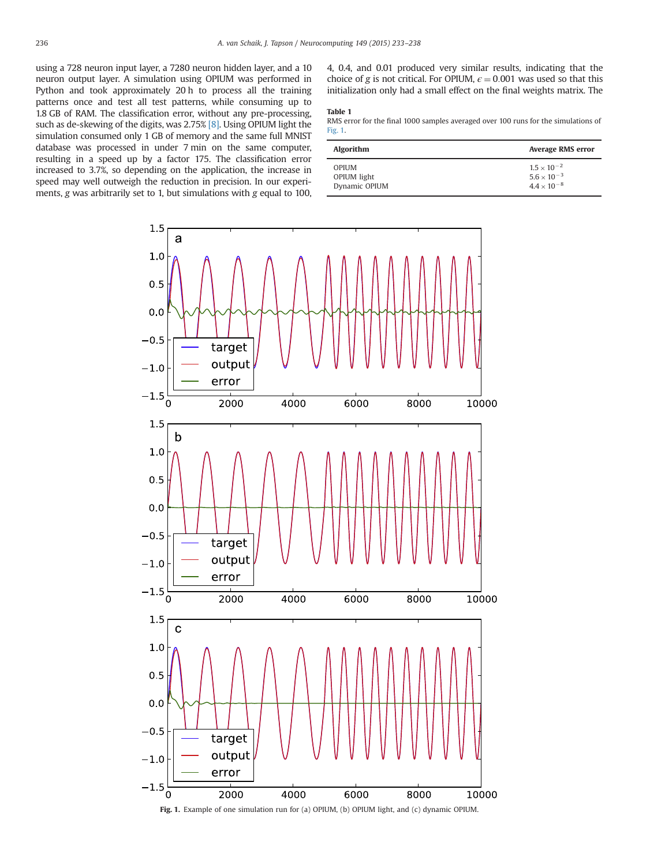<span id="page-3-0"></span>using a 728 neuron input layer, a 7280 neuron hidden layer, and a 10 neuron output layer. A simulation using OPIUM was performed in Python and took approximately 20 h to process all the training patterns once and test all test patterns, while consuming up to 1.8 GB of RAM. The classification error, without any pre-processing, such as de-skewing of the digits, was 2.75% [\[8\].](#page-5-0) Using OPIUM light the simulation consumed only 1 GB of memory and the same full MNIST database was processed in under 7 min on the same computer, resulting in a speed up by a factor 175. The classification error increased to 3.7%, so depending on the application, the increase in speed may well outweigh the reduction in precision. In our experiments, g was arbitrarily set to 1, but simulations with g equal to 100,

4, 0.4, and 0.01 produced very similar results, indicating that the choice of g is not critical. For OPIUM,  $\epsilon = 0.001$  was used so that this initialization only had a small effect on the final weights matrix. The

## Table 1

RMS error for the final 1000 samples averaged over 100 runs for the simulations of Fig. 1.

| <b>Algorithm</b> | <b>Average RMS error</b> |
|------------------|--------------------------|
| OPIUM            | $1.5 \times 10^{-2}$     |
| OPIUM light      | $5.6 \times 10^{-3}$     |
| Dynamic OPIUM    | $4.4 \times 10^{-8}$     |

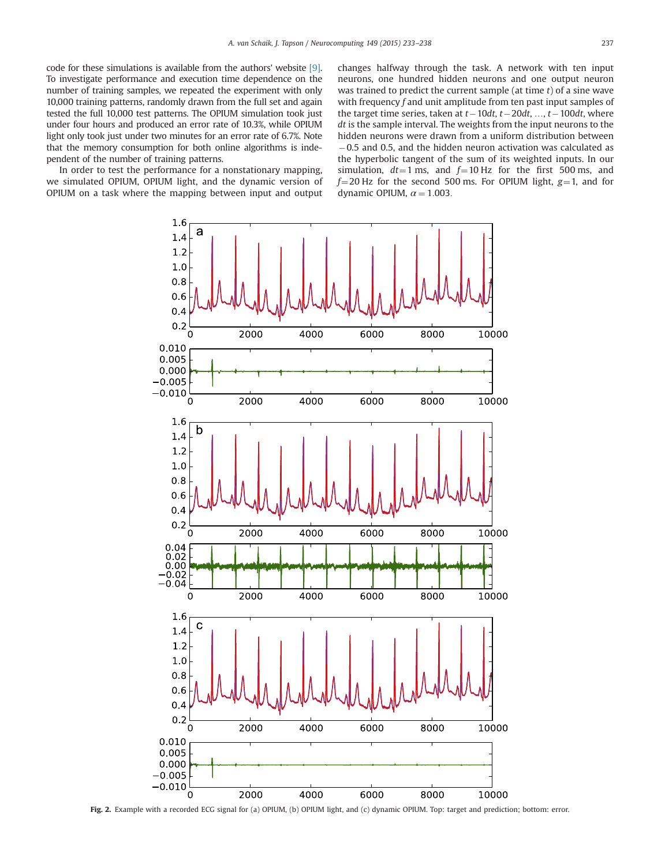<span id="page-4-0"></span>code for these simulations is available from the authors' website [\[9\].](#page-5-0) To investigate performance and execution time dependence on the number of training samples, we repeated the experiment with only 10,000 training patterns, randomly drawn from the full set and again tested the full 10,000 test patterns. The OPIUM simulation took just under four hours and produced an error rate of 10.3%, while OPIUM light only took just under two minutes for an error rate of 6.7%. Note that the memory consumption for both online algorithms is independent of the number of training patterns.

In order to test the performance for a nonstationary mapping, we simulated OPIUM, OPIUM light, and the dynamic version of OPIUM on a task where the mapping between input and output

changes halfway through the task. A network with ten input neurons, one hundred hidden neurons and one output neuron was trained to predict the current sample (at time  $t$ ) of a sine wave with frequency  $f$  and unit amplitude from ten past input samples of the target time series, taken at  $t-10dt$ ,  $t-20dt$ , …,  $t-100dt$ , where  $dt$  is the sample interval. The weights from the input neurons to the hidden neurons were drawn from a uniform distribution between  $-0.5$  and 0.5, and the hidden neuron activation was calculated as the hyperbolic tangent of the sum of its weighted inputs. In our simulation,  $dt=1$  ms, and  $f=10$  Hz for the first 500 ms, and  $f=20$  Hz for the second 500 ms. For OPIUM light,  $g=1$ , and for dynamic OPIUM,  $\alpha = 1.003$ .



Fig. 2. Example with a recorded ECG signal for (a) OPIUM, (b) OPIUM light, and (c) dynamic OPIUM. Top: target and prediction; bottom: error.